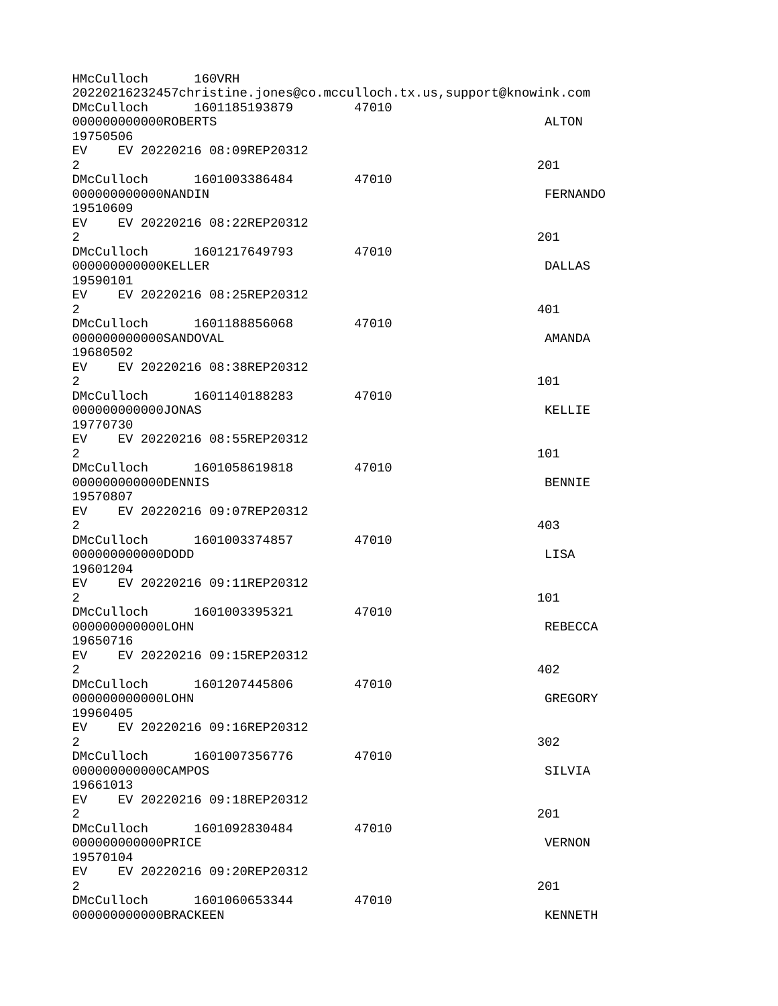| HMcCulloch                                     |  | 160VRH                       |                                                                      |                 |
|------------------------------------------------|--|------------------------------|----------------------------------------------------------------------|-----------------|
|                                                |  |                              | 20220216232457christine.jones@co.mcculloch.tx.us,support@knowink.com |                 |
| DMcCulloch                                     |  | 1601185193879                | 47010                                                                |                 |
| 00000000000R0BERTS<br>19750506                 |  |                              |                                                                      | <b>ALTON</b>    |
| EV                                             |  | EV 20220216 08:09REP20312    |                                                                      |                 |
| $\overline{2}$                                 |  |                              |                                                                      | 201             |
|                                                |  | DMcCulloch 1601003386484     | 47010                                                                |                 |
| 000000000000NANDIN                             |  |                              |                                                                      | <b>FERNANDO</b> |
| 19510609                                       |  |                              |                                                                      |                 |
|                                                |  | EV EV 20220216 08:22REP20312 |                                                                      |                 |
| $\overline{2}$                                 |  |                              |                                                                      | 201             |
| DMcCulloch                                     |  | 1601217649793                | 47010                                                                |                 |
| 000000000000KELLER<br>19590101                 |  |                              |                                                                      | <b>DALLAS</b>   |
| EV                                             |  | EV 20220216 08:25REP20312    |                                                                      |                 |
| 2                                              |  |                              |                                                                      | 401             |
| DMcCulloch                                     |  | 1601188856068                | 47010                                                                |                 |
| 000000000000SANDOVAL                           |  |                              |                                                                      | AMANDA          |
| 19680502                                       |  |                              |                                                                      |                 |
|                                                |  | EV EV 20220216 08:38REP20312 |                                                                      |                 |
| $\overline{2}$                                 |  |                              |                                                                      | 101             |
| DMcCulloch                                     |  | 1601140188283                | 47010                                                                |                 |
| 000000000000JONAS                              |  |                              |                                                                      | <b>KELLIE</b>   |
| 19770730                                       |  | EV EV 20220216 08:55REP20312 |                                                                      |                 |
| $\overline{2}$                                 |  |                              |                                                                      | 101             |
|                                                |  | DMcCulloch 1601058619818     | 47010                                                                |                 |
| 00000000000DENNIS                              |  |                              |                                                                      | <b>BENNIE</b>   |
| 19570807                                       |  |                              |                                                                      |                 |
|                                                |  | EV EV 20220216 09:07REP20312 |                                                                      |                 |
| $\overline{2}$                                 |  |                              |                                                                      | 403             |
| DMcCulloch                                     |  | 1601003374857                | 47010                                                                |                 |
| 0000000000000DD<br>19601204                    |  |                              |                                                                      | <b>LISA</b>     |
| EV                                             |  | EV 20220216 09:11REP20312    |                                                                      |                 |
| $\overline{2}$                                 |  |                              |                                                                      | 101             |
| DMcCulloch                                     |  | 1601003395321                | 47010                                                                |                 |
| 00000000000LOHN                                |  |                              |                                                                      | REBECCA         |
| 19650716                                       |  |                              |                                                                      |                 |
|                                                |  | EV EV 20220216 09:15REP20312 |                                                                      |                 |
| 2 <sup>1</sup>                                 |  |                              |                                                                      | 402             |
| DMcCulloch                                     |  | 1601207445806                | 47010                                                                |                 |
| 000000000000LOHN<br>19960405                   |  |                              |                                                                      | <b>GREGORY</b>  |
| EV                                             |  | EV 20220216 09:16REP20312    |                                                                      |                 |
| $\overline{2}$                                 |  |                              |                                                                      | 302             |
|                                                |  | DMcCulloch 1601007356776     | 47010                                                                |                 |
| 000000000000CAMP0S                             |  |                              |                                                                      | <b>SILVIA</b>   |
| 19661013                                       |  |                              |                                                                      |                 |
|                                                |  | EV EV 20220216 09:18REP20312 |                                                                      |                 |
| $\overline{2}$                                 |  |                              |                                                                      | 201             |
|                                                |  | DMcCulloch 1601092830484     | 47010                                                                |                 |
| 000000000000PRICE<br><b>VERNON</b><br>19570104 |  |                              |                                                                      |                 |
| EV EV 20220216 09:20REP20312                   |  |                              |                                                                      |                 |
| $\overline{2}$                                 |  |                              |                                                                      | 201             |
|                                                |  | DMcCulloch 1601060653344     | 47010                                                                |                 |
| 000000000000BRACKEEN                           |  |                              |                                                                      | <b>KENNETH</b>  |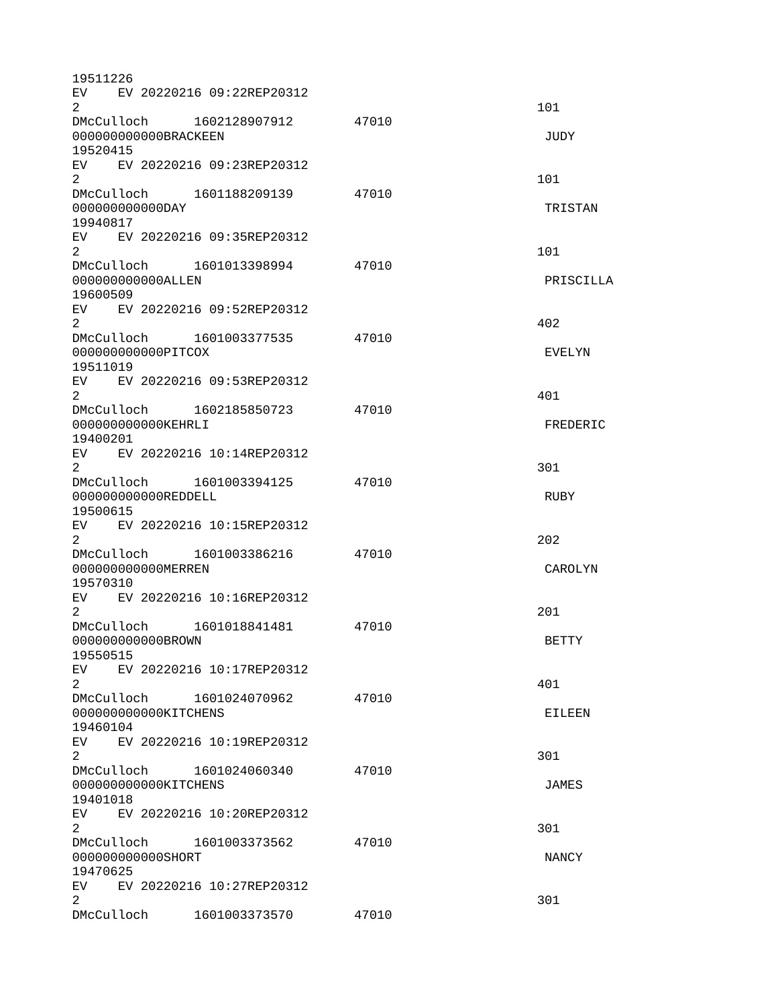| 19511226             |                              |       |                |
|----------------------|------------------------------|-------|----------------|
|                      | EV EV 20220216 09:22REP20312 |       |                |
| 2                    |                              |       | 101            |
|                      | DMcCulloch 1602128907912     | 47010 |                |
| 000000000000BRACKEEN |                              |       | <b>JUDY</b>    |
| 19520415             |                              |       |                |
|                      | EV EV 20220216 09:23REP20312 |       |                |
| $\overline{2}$       |                              |       | 101            |
|                      | DMcCulloch 1601188209139     | 47010 |                |
| 000000000000DAY      |                              |       | TRISTAN        |
| 19940817             |                              |       |                |
|                      | EV EV 20220216 09:35REP20312 |       |                |
| $\overline{2}$       |                              |       | 101            |
|                      | DMcCulloch 1601013398994     | 47010 |                |
| 00000000000ALLEN     |                              |       | PRISCILLA      |
| 19600509             |                              |       |                |
|                      | EV EV 20220216 09:52REP20312 |       |                |
| 2                    |                              |       | 402            |
|                      | DMcCulloch 1601003377535     | 47010 |                |
| 000000000000PITC0X   |                              |       | EVELYN         |
| 19511019             |                              |       |                |
|                      | EV EV 20220216 09:53REP20312 |       |                |
| $\overline{2}$       |                              |       | 401            |
|                      | DMcCulloch 1602185850723     | 47010 |                |
| 000000000000KEHRLI   |                              |       | FREDERIC       |
| 19400201             |                              |       |                |
|                      | EV EV 20220216 10:14REP20312 |       |                |
| $\overline{2}$       |                              |       | 301            |
|                      | DMcCulloch 1601003394125     | 47010 |                |
| 000000000000REDDELL  |                              |       | <b>RUBY</b>    |
| 19500615             |                              |       |                |
|                      | EV EV 20220216 10:15REP20312 |       |                |
| $\overline{2}$       |                              |       | 202            |
| DMcCulloch           | 1601003386216                | 47010 |                |
| 00000000000MERREN    |                              |       | <b>CAROLYN</b> |
| 19570310             |                              |       |                |
| EV                   | EV 20220216 10:16REP20312    |       |                |
| $\overline{2}$       |                              |       | 201            |
| DMcCulloch           | 1601018841481                | 47010 |                |
| 00000000000BR0WN     |                              |       | <b>BETTY</b>   |
| 19550515             |                              |       |                |
| EV                   | EV 20220216 10:17REP20312    |       |                |
| $\mathbf{2}$         |                              |       | 401            |
|                      | DMcCulloch 1601024070962     | 47010 |                |
| 000000000000KITCHENS |                              |       | EILEEN         |
| 19460104             |                              |       |                |
|                      | EV EV 20220216 10:19REP20312 |       |                |
| $\overline{2}$       |                              |       | 301            |
|                      | DMcCulloch 1601024060340     | 47010 |                |
| 000000000000KITCHENS |                              |       | <b>JAMES</b>   |
| 19401018             |                              |       |                |
|                      | EV EV 20220216 10:20REP20312 |       |                |
| $\overline{2}$       |                              |       | 301            |
|                      | DMcCulloch 1601003373562     | 47010 |                |
| 000000000000SHORT    |                              |       | <b>NANCY</b>   |
| 19470625             |                              |       |                |
|                      | EV EV 20220216 10:27REP20312 |       |                |
| $\overline{2}$       |                              |       | 301            |
|                      | DMcCulloch 1601003373570     | 47010 |                |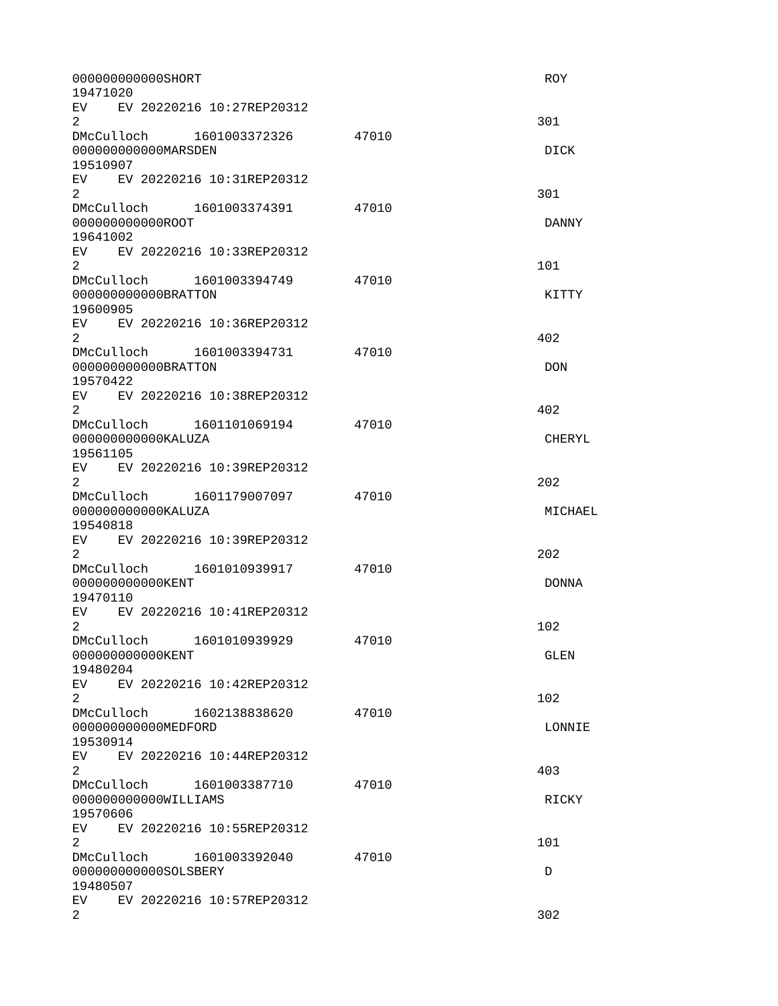| 000000000000SHORT<br>19471020                                     |       | <b>ROY</b>    |
|-------------------------------------------------------------------|-------|---------------|
| EV EV 20220216 10:27REP20312<br>$\overline{2}$                    |       | 301           |
| DMcCulloch 1601003372326 47010<br>000000000000MARSDEN<br>19510907 |       | <b>DICK</b>   |
| EV EV 20220216 10:31REP20312<br>$\overline{2}$                    |       | 301           |
| DMcCulloch  1601003374391<br>00000000000R00T<br>19641002          | 47010 | <b>DANNY</b>  |
| EV EV 20220216 10:33REP20312<br>$\overline{2}$                    |       | 101           |
| DMcCulloch 1601003394749<br>000000000000BRATTON<br>19600905       | 47010 | <b>KITTY</b>  |
| EV EV 20220216 10:36REP20312<br>$\overline{2}$                    |       | 402           |
| DMcCulloch  1601003394731<br>000000000000BRATTON<br>19570422      | 47010 | <b>DON</b>    |
| EV EV 20220216 10:38REP20312<br>$\overline{2}$                    |       | 402           |
| 000000000000KALUZA<br>19561105                                    | 47010 | <b>CHERYL</b> |
| EV EV 20220216 10:39REP20312<br>$\overline{2}$                    |       | 202           |
| 000000000000KALUZA<br>19540818                                    | 47010 | MICHAEL       |
| EV EV 20220216 10:39REP20312<br>$\overline{2}$                    |       | 202           |
| DMcCulloch 1601010939917<br>00000000000KENT<br>19470110           | 47010 | <b>DONNA</b>  |
| EV EV 20220216 10:41REP20312<br>$\overline{2}$                    |       | 102           |
| DMcCulloch 1601010939929<br>00000000000KENT<br>19480204           | 47010 | GLEN          |
| EV EV 20220216 10:42REP20312<br>$\overline{2}$                    |       | 102           |
| DMcCulloch<br>1602138838620<br>000000000000MEDF0RD<br>19530914    | 47010 | LONNIE        |
| EV<br>EV 20220216 10:44REP20312<br>$\overline{2}$                 |       | 403           |
| DMcCulloch 1601003387710<br>000000000000WILLIAMS<br>19570606      | 47010 | <b>RICKY</b>  |
| EV EV 20220216 10:55REP20312<br>$\overline{2}$                    |       | 101           |
| DMcCulloch 1601003392040<br>000000000000SOLSBERY<br>19480507      | 47010 | D             |
| EV  <br>EV 20220216 10:57REP20312<br>$\overline{2}$               |       | 302           |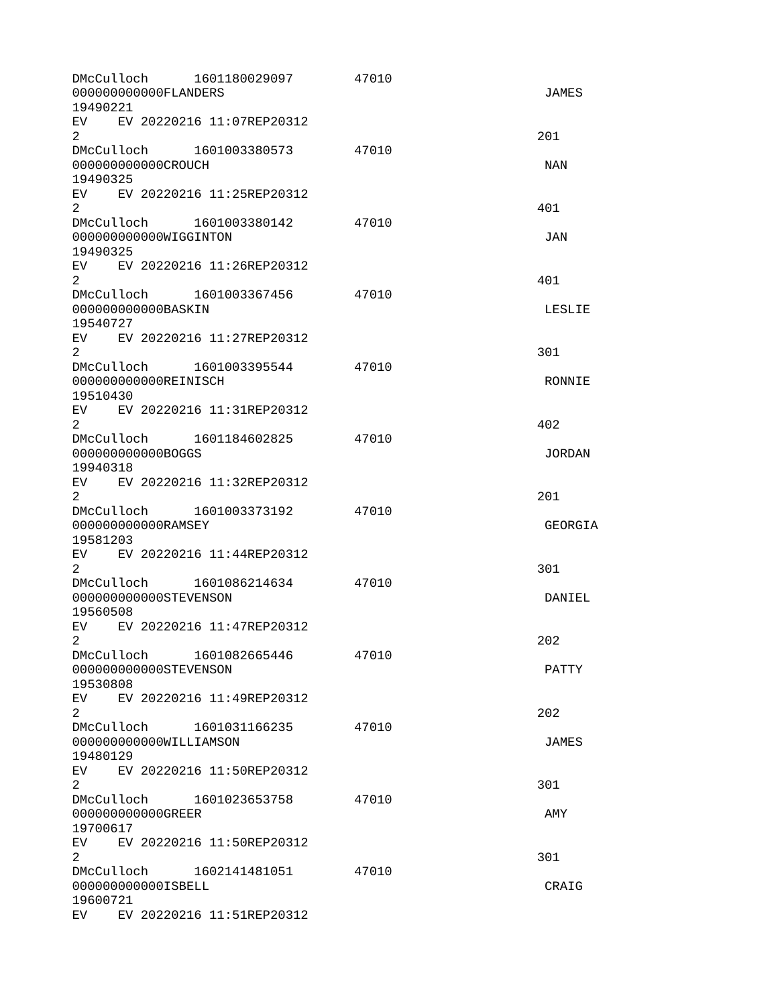| DMcCulloch<br>00000000000FLANDERS<br>19490221                  | 1601180029097 | 47010 | <b>JAMES</b>  |
|----------------------------------------------------------------|---------------|-------|---------------|
| EV EV 20220216 11:07REP20312<br>$\overline{2}$                 |               |       | 201           |
| DMcCulloch 1601003380573<br>000000000000CR0UCH<br>19490325     |               | 47010 | <b>NAN</b>    |
| EV EV 20220216 11:25REP20312<br>$\overline{2}$                 |               |       | 401           |
| DMcCulloch 1601003380142<br>000000000000WIGGINTON<br>19490325  |               | 47010 | <b>JAN</b>    |
| EV EV 20220216 11:26REP20312<br>$\overline{2}$                 |               |       | 401           |
| DMcCulloch 1601003367456<br>000000000000BASKIN<br>19540727     |               | 47010 | LESLIE        |
| EV.<br>EV 20220216 11:27REP20312<br>$\overline{2}$             |               |       | 301           |
| DMcCulloch 1601003395544<br>000000000000REINISCH<br>19510430   |               | 47010 | RONNIE        |
| EV EV 20220216 11:31REP20312<br>$\overline{2}$                 |               |       | 402           |
| DMcCulloch 1601184602825<br>000000000000B0GGS<br>19940318      |               | 47010 | <b>JORDAN</b> |
| EV EV 20220216 11:32REP20312<br>$\overline{2}$                 |               |       | 201           |
| DMcCulloch 1601003373192<br>000000000000RAMSEY<br>19581203     |               | 47010 | GEORGIA       |
| EV EV 20220216 11:44REP20312<br>2                              |               |       | 301           |
| DMcCulloch 1601086214634<br>000000000000STEVENSON<br>19560508  |               | 47010 | DANIEL        |
| EV<br>EV 20220216 11:47REP20312<br>2.                          |               |       | 202           |
| DMcCulloch<br>000000000000STEVENSON<br>19530808                | 1601082665446 | 47010 | <b>PATTY</b>  |
| EV EV 20220216 11:49REP20312<br>2                              |               |       | 202           |
| DMcCulloch 1601031166235<br>000000000000WILLIAMSON<br>19480129 |               | 47010 | <b>JAMES</b>  |
| EV EV 20220216 11:50REP20312<br>$\overline{2}$                 |               |       | 301           |
| DMcCulloch<br>000000000000GREER<br>19700617                    | 1601023653758 | 47010 | AMY           |
| EV <sub>2</sub><br>EV 20220216 11:50REP20312<br>$\overline{2}$ |               |       | 301           |
| DMcCulloch 1602141481051<br>000000000000ISBELL<br>19600721     |               | 47010 | CRAIG         |
| EV <sub>2</sub><br>EV 20220216 11:51REP20312                   |               |       |               |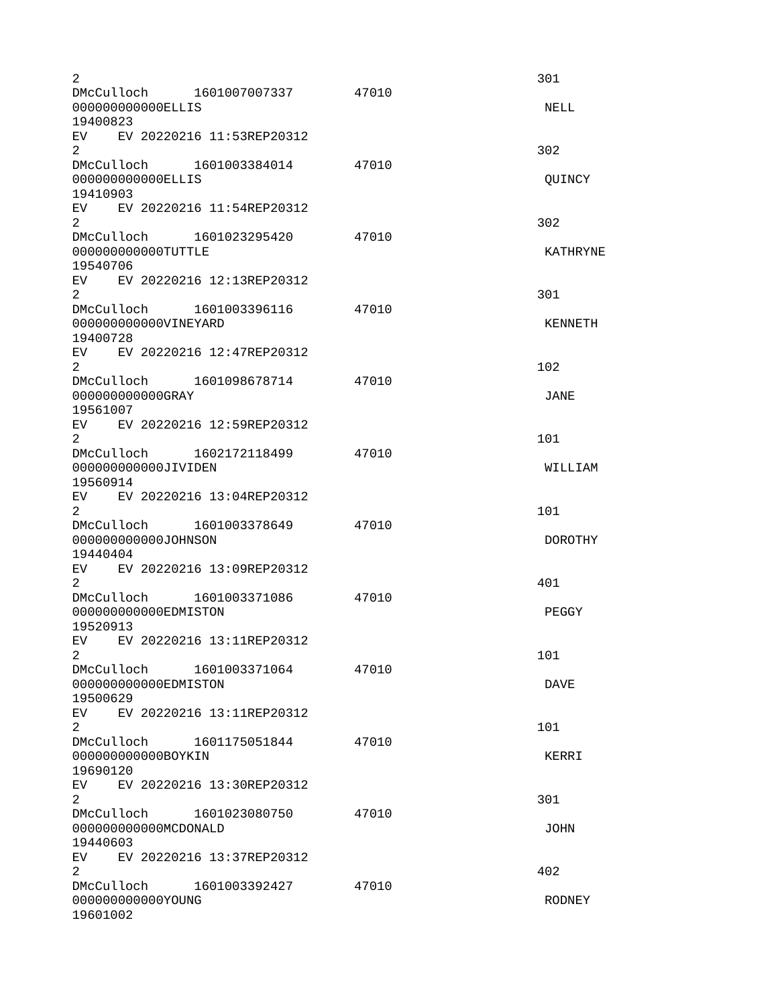| 2                                                            |                                |       | 301             |
|--------------------------------------------------------------|--------------------------------|-------|-----------------|
| 00000000000ELLIS                                             | DMcCulloch 1601007007337 47010 |       | <b>NELL</b>     |
| 19400823<br>EV EV 20220216 11:53REP20312                     |                                |       |                 |
| $\overline{2}$                                               | DMcCulloch 1601003384014       | 47010 | 302             |
| 00000000000ELLIS<br>19410903                                 |                                |       | QUINCY          |
| EV EV 20220216 11:54REP20312<br>$\overline{2}$               |                                |       | 302             |
| 000000000000TUTTLE                                           | DMcCulloch 1601023295420       | 47010 | <b>KATHRYNE</b> |
| 19540706<br>EV EV 20220216 12:13REP20312<br>$\overline{2}$   |                                |       | 301             |
| 000000000000VINEYARD                                         | DMcCulloch 1601003396116 47010 |       | <b>KENNETH</b>  |
| 19400728<br>EV<br>$\overline{2}$                             | EV 20220216 12:47REP20312      |       | 102             |
| DMcCulloch 1601098678714<br>000000000000GRAY                 |                                | 47010 | <b>JANE</b>     |
| 19561007<br>EV EV 20220216 12:59REP20312<br>2                |                                |       | 101             |
| 000000000000JIVIDEN<br>19560914                              |                                | 47010 | WILLIAM         |
| EV EV 20220216 13:04REP20312<br>$\overline{2}$               |                                |       | 101             |
| DMcCulloch 1601003378649<br>000000000000J0HNSON<br>19440404  |                                | 47010 | <b>DOROTHY</b>  |
| EV EV 20220216 13:09REP20312<br>2                            |                                |       | 401             |
| DMcCulloch 1601003371086<br>000000000000EDMISTON<br>19520913 |                                | 47010 | PEGGY           |
| EV EV 20220216 13:11REP20312<br>2                            |                                |       | 101             |
| DMcCulloch<br>000000000000EDMISTON<br>19500629               | 1601003371064                  | 47010 | <b>DAVE</b>     |
| EV<br>$\overline{2}$                                         | EV 20220216 13:11REP20312      |       | 101             |
| DMcCulloch 1601175051844<br>000000000000B0YKIN<br>19690120   |                                | 47010 | KERRI           |
| EV EV 20220216 13:30REP20312<br>2<br>DMcCulloch              | 1601023080750                  | 47010 | 301             |
| 000000000000MCD0NALD<br>19440603<br>EV                       | EV 20220216 13:37REP20312      |       | <b>JOHN</b>     |
| $\overline{2}$<br>DMcCulloch 1601003392427                   |                                | 47010 | 402             |
| 000000000000YOUNG<br>19601002                                |                                |       | <b>RODNEY</b>   |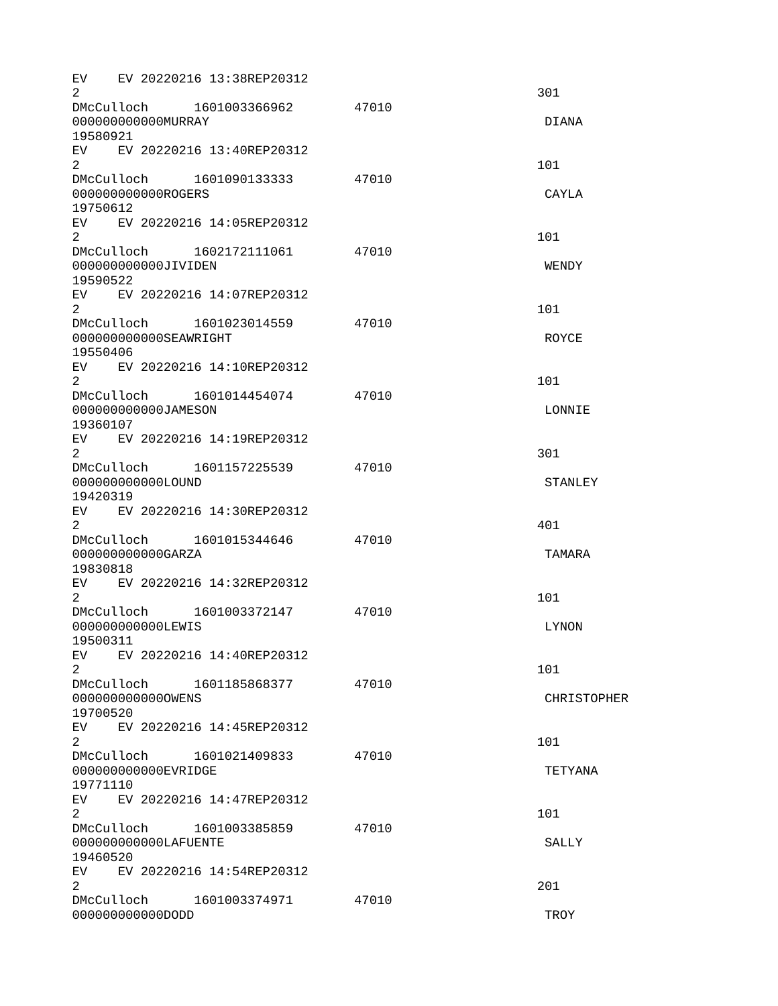| $\overline{2}$                   |  |                       | EV EV 20220216 13:38REP20312   |       | 301                |
|----------------------------------|--|-----------------------|--------------------------------|-------|--------------------|
|                                  |  | 000000000000MURRAY    |                                | 47010 | <b>DIANA</b>       |
| 19580921                         |  |                       |                                |       |                    |
| $\overline{2}$                   |  |                       | EV EV 20220216 13:40REP20312   |       | 101                |
|                                  |  |                       |                                | 47010 |                    |
|                                  |  | 000000000000R0GERS    |                                |       | CAYLA              |
| 19750612                         |  |                       |                                |       |                    |
| $\overline{2}$                   |  |                       | EV EV 20220216 14:05REP20312   |       | 101                |
|                                  |  |                       |                                | 47010 |                    |
|                                  |  | 000000000000JIVIDEN   |                                |       | <b>WENDY</b>       |
| 19590522                         |  |                       |                                |       |                    |
|                                  |  |                       | EV EV 20220216 14:07REP20312   |       |                    |
| 2                                |  |                       |                                |       | 101                |
|                                  |  |                       | DMcCulloch 1601023014559 47010 |       |                    |
|                                  |  | 000000000000SEAWRIGHT |                                |       | <b>ROYCE</b>       |
| 19550406                         |  |                       |                                |       |                    |
|                                  |  |                       | EV EV 20220216 14:10REP20312   |       |                    |
| $\overline{2}$                   |  |                       |                                |       | 101                |
|                                  |  |                       | DMcCulloch 1601014454074       | 47010 |                    |
|                                  |  | 000000000000JAMESON   |                                |       | LONNIE             |
| 19360107                         |  |                       |                                |       |                    |
|                                  |  |                       | EV EV 20220216 14:19REP20312   |       |                    |
| $\overline{2}$                   |  |                       |                                |       | 301                |
|                                  |  |                       |                                | 47010 |                    |
|                                  |  | 000000000000L0UND     |                                |       | <b>STANLEY</b>     |
| 19420319                         |  |                       |                                |       |                    |
|                                  |  |                       | EV EV 20220216 14:30REP20312   |       |                    |
| $\overline{2}$                   |  |                       |                                |       | 401                |
|                                  |  |                       | DMcCulloch 1601015344646       | 47010 |                    |
|                                  |  | 000000000000GARZA     |                                |       | <b>TAMARA</b>      |
| 19830818                         |  |                       |                                |       |                    |
| EV                               |  |                       | EV 20220216 14:32REP20312      |       |                    |
| $\overline{2}$                   |  |                       |                                |       | 101                |
| DMcCulloch                       |  |                       | 1601003372147                  | 47010 |                    |
|                                  |  | 000000000000LEWIS     |                                |       | LYNON              |
| 19500311                         |  |                       |                                |       |                    |
| 2 <sup>1</sup>                   |  |                       | EV EV 20220216 14:40REP20312   |       |                    |
|                                  |  | DMcCulloch            |                                |       | 101                |
|                                  |  | 0000000000000WENS     | 1601185868377                  | 47010 |                    |
| 19700520                         |  |                       |                                |       | <b>CHRISTOPHER</b> |
| EV                               |  |                       |                                |       |                    |
|                                  |  |                       | EV 20220216 14:45REP20312      |       |                    |
| $\overline{2}$                   |  |                       | DMcCulloch 1601021409833       |       | 101                |
|                                  |  | 00000000000EVRIDGE    |                                | 47010 | <b>TETYANA</b>     |
| 19771110                         |  |                       |                                |       |                    |
|                                  |  |                       | EV EV 20220216 14:47REP20312   |       |                    |
| $\overline{2}$                   |  |                       |                                |       | 101                |
|                                  |  |                       | DMcCulloch 1601003385859       | 47010 |                    |
|                                  |  |                       |                                |       | <b>SALLY</b>       |
| 000000000000LAFUENTE<br>19460520 |  |                       |                                |       |                    |
|                                  |  |                       | EV EV 20220216 14:54REP20312   |       |                    |
| 2 <sup>1</sup>                   |  |                       |                                |       | 201                |
|                                  |  |                       | DMcCulloch 1601003374971       | 47010 |                    |
|                                  |  | 0000000000000DD       |                                |       | TR <sub>0</sub> Y  |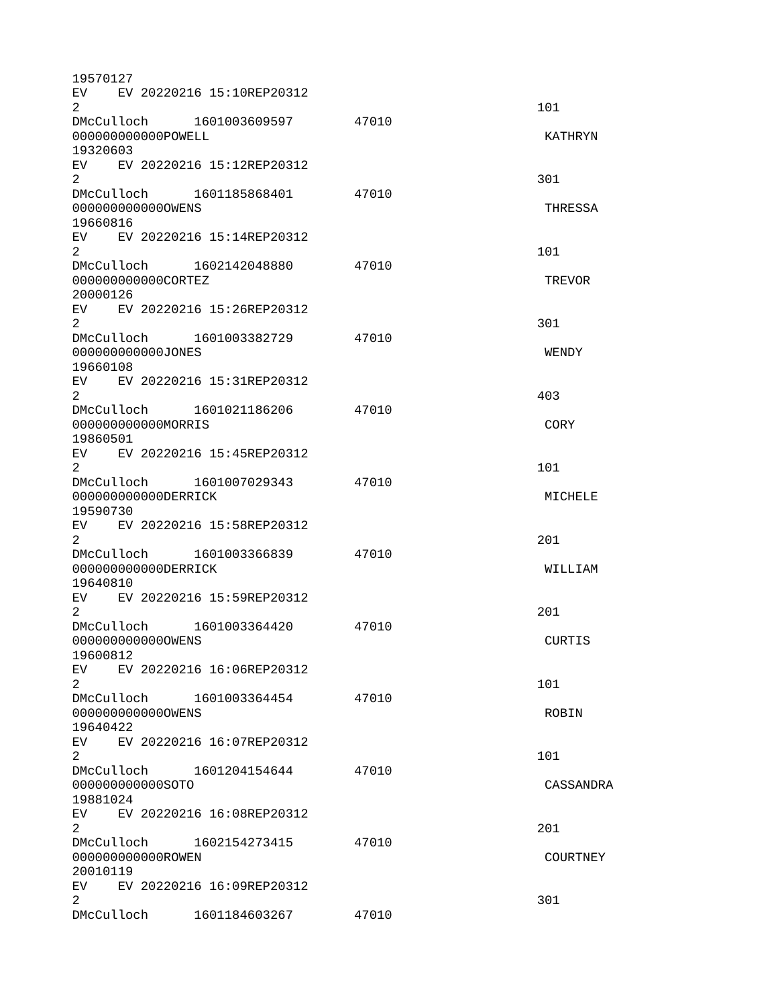| 19570127            |  |                              |       |                 |
|---------------------|--|------------------------------|-------|-----------------|
|                     |  | EV EV 20220216 15:10REP20312 |       |                 |
| 2                   |  |                              |       | 101             |
|                     |  | DMcCulloch 1601003609597     | 47010 |                 |
| 00000000000P0WELL   |  |                              |       | <b>KATHRYN</b>  |
| 19320603            |  |                              |       |                 |
|                     |  | EV EV 20220216 15:12REP20312 |       |                 |
| $\overline{2}$      |  |                              |       | 301             |
|                     |  | DMcCulloch 1601185868401     | 47010 |                 |
| 0000000000000WENS   |  |                              |       | <b>THRESSA</b>  |
| 19660816            |  |                              |       |                 |
|                     |  | EV EV 20220216 15:14REP20312 |       |                 |
|                     |  |                              |       |                 |
| 2 <sup>1</sup>      |  |                              |       | 101             |
|                     |  | DMcCulloch 1602142048880     | 47010 |                 |
| 000000000000C0RTEZ  |  |                              |       | <b>TREVOR</b>   |
| 20000126            |  |                              |       |                 |
|                     |  | EV EV 20220216 15:26REP20312 |       |                 |
| 2                   |  |                              |       | 301             |
|                     |  | DMcCulloch 1601003382729     | 47010 |                 |
| 000000000000JONES   |  |                              |       | <b>WENDY</b>    |
| 19660108            |  |                              |       |                 |
|                     |  | EV EV 20220216 15:31REP20312 |       |                 |
| $\overline{2}$      |  |                              |       | 403             |
|                     |  | DMcCulloch 1601021186206     | 47010 |                 |
|                     |  |                              |       | <b>CORY</b>     |
| 00000000000MORRIS   |  |                              |       |                 |
| 19860501            |  |                              |       |                 |
|                     |  | EV EV 20220216 15:45REP20312 |       |                 |
| $\overline{2}$      |  |                              |       | 101             |
|                     |  | DMcCulloch 1601007029343     | 47010 |                 |
| 000000000000DERRICK |  |                              |       | MICHELE         |
| 19590730            |  |                              |       |                 |
|                     |  | EV EV 20220216 15:58REP20312 |       |                 |
| $\overline{2}$      |  |                              |       | 201             |
| DMcCulloch          |  | 1601003366839                | 47010 |                 |
| 000000000000DERRICK |  |                              |       | WILLIAM         |
| 19640810            |  |                              |       |                 |
| EV                  |  | EV 20220216 15:59REP20312    |       |                 |
| $\overline{2}$      |  |                              |       | 201             |
|                     |  |                              |       |                 |
|                     |  | DMcCulloch 1601003364420     | 47010 |                 |
| 0000000000000WENS   |  |                              |       | <b>CURTIS</b>   |
| 19600812            |  |                              |       |                 |
| <b>EV</b>           |  | EV 20220216 16:06REP20312    |       |                 |
| $\mathbf{2}$        |  |                              |       | 101             |
|                     |  | DMcCulloch 1601003364454     | 47010 |                 |
| 0000000000000WENS   |  |                              |       | <b>ROBIN</b>    |
| 19640422            |  |                              |       |                 |
|                     |  | EV EV 20220216 16:07REP20312 |       |                 |
| $\overline{2}$      |  |                              |       | 101             |
|                     |  | DMcCulloch 1601204154644     | 47010 |                 |
| 000000000000S0T0    |  |                              |       | CASSANDRA       |
|                     |  |                              |       |                 |
| 19881024            |  |                              |       |                 |
|                     |  | EV EV 20220216 16:08REP20312 |       |                 |
| $\overline{2}$      |  |                              |       | 201             |
|                     |  |                              | 47010 |                 |
| 00000000000R0WEN    |  |                              |       | <b>COURTNEY</b> |
| 20010119            |  |                              |       |                 |
|                     |  | EV EV 20220216 16:09REP20312 |       |                 |
| $\overline{2}$      |  |                              |       | 301             |
| DMcCulloch          |  | 1601184603267                | 47010 |                 |